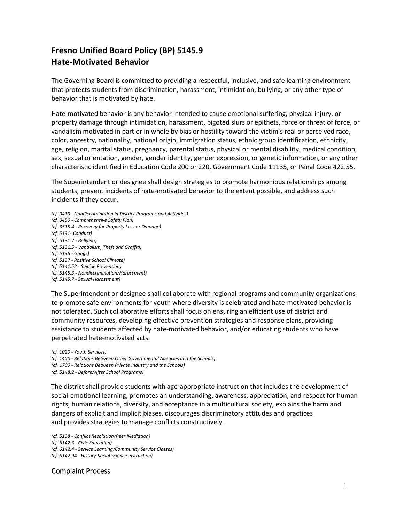## **Fresno Unified Board Policy (BP) 5145.9 Hate-Motivated Behavior**

The Governing Board is committed to providing a respectful, inclusive, and safe learning environment that protects students from discrimination, harassment, intimidation, bullying, or any other type of behavior that is motivated by hate.

Hate-motivated behavior is any behavior intended to cause emotional suffering, physical injury, or property damage through intimidation, harassment, bigoted slurs or epithets, force or threat of force, or vandalism motivated in part or in whole by bias or hostility toward the victim's real or perceived race, color, ancestry, nationality, national origin, immigration status, ethnic group identification, ethnicity, age, religion, marital status, pregnancy, parental status, physical or mental disability, medical condition, sex, sexual orientation, gender, gender identity, gender expression, or genetic information, or any other characteristic identified in Education Code 200 or 220, Government Code 11135, or Penal Code 422.55.

The Superintendent or designee shall design strategies to promote harmonious relationships among students, prevent incidents of hate-motivated behavior to the extent possible, and address such incidents if they occur.

*(cf. 0410 - Nondiscrimination in District Programs and Activities) (cf. 0450 - Comprehensive Safety Plan) (cf. 3515.4 - Recovery for Property Loss or Damage) (cf. 5131- Conduct) (cf. 5131.2 - Bullying) (cf. 5131.5 - Vandalism, Theft and Graffiti) (cf. 5136 - Gangs) (cf. 5137 - Positive School Climate) (cf. 5141.52 - Suicide Prevention) (cf. 5145.3 - Nondiscrimination/Harassment) (cf. 5145.7 - Sexual Harassment)*

The Superintendent or designee shall collaborate with regional programs and community organizations to promote safe environments for youth where diversity is celebrated and hate-motivated behavior is not tolerated. Such collaborative efforts shall focus on ensuring an efficient use of district and community resources, developing effective prevention strategies and response plans, providing assistance to students affected by hate-motivated behavior, and/or educating students who have perpetrated hate-motivated acts.

*(cf. 1020 - Youth Services) (cf. 1400 - Relations Between Other Governmental Agencies and the Schools) (cf. 1700 - Relations Between Private Industry and the Schools)*

*(cf. 5148.2 - Before/After School Programs)*

The district shall provide students with age-appropriate instruction that includes the development of social-emotional learning, promotes an understanding, awareness, appreciation, and respect for human rights, human relations, diversity, and acceptance in a multicultural society, explains the harm and dangers of explicit and implicit biases, discourages discriminatory attitudes and practices and provides strategies to manage conflicts constructively.

*(cf. 5138 - Conflict Resolution/Peer Mediation) (cf. 6142.3 - Civic Education) (cf. 6142.4 - Service Learning/Community Service Classes) (cf. 6142.94 - History-Social Science Instruction)*

Complaint Process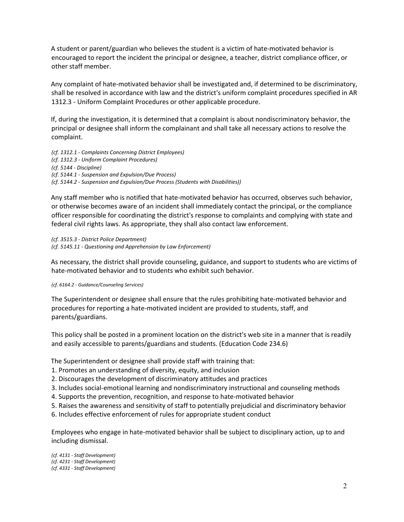A student or parent/guardian who believes the student is a victim of hate-motivated behavior is encouraged to report the incident the principal or designee, a teacher, district compliance officer, or other staff member.

Any complaint of hate-motivated behavior shall be investigated and, if determined to be discriminatory, shall be resolved in accordance with law and the district's uniform complaint procedures specified in AR 1312.3 - Uniform Complaint Procedures or other applicable procedure.

If, during the investigation, it is determined that a complaint is about nondiscriminatory behavior, the principal or designee shall inform the complainant and shall take all necessary actions to resolve the complaint.

*(cf. 1312.1 - Complaints Concerning District Employees) (cf. 1312.3 - Uniform Complaint Procedures) (cf. 5144 - Discipline) (cf. 5144.1 - Suspension and Expulsion/Due Process) (cf. 5144.2 - Suspension and Expulsion/Due Process (Students with Disabilities))*

Any staff member who is notified that hate-motivated behavior has occurred, observes such behavior, or otherwise becomes aware of an incident shall immediately contact the principal, or the compliance officer responsible for coordinating the district's response to complaints and complying with state and federal civil rights laws. As appropriate, they shall also contact law enforcement.

*(cf. 3515.3 - District Police Department) (cf. 5145.11 - Questioning and Apprehension by Law Enforcement)*

As necessary, the district shall provide counseling, guidance, and support to students who are victims of hate-motivated behavior and to students who exhibit such behavior.

## *(cf. 6164.2 - Guidance/Counseling Services)*

The Superintendent or designee shall ensure that the rules prohibiting hate-motivated behavior and procedures for reporting a hate-motivated incident are provided to students, staff, and parents/guardians.

This policy shall be posted in a prominent location on the district's web site in a manner that is readily and easily accessible to parents/guardians and students. (Education Code 234.6)

The Superintendent or designee shall provide staff with training that:

- 1. Promotes an understanding of diversity, equity, and inclusion
- 2. Discourages the development of discriminatory attitudes and practices
- 3. Includes social-emotional learning and nondiscriminatory instructional and counseling methods
- 4. Supports the prevention, recognition, and response to hate-motivated behavior
- 5. Raises the awareness and sensitivity of staff to potentially prejudicial and discriminatory behavior
- 6. Includes effective enforcement of rules for appropriate student conduct

Employees who engage in hate-motivated behavior shall be subject to disciplinary action, up to and including dismissal.

*(cf. 4131 - Staff Development) (cf. 4231 - Staff Development) (cf. 4331 - Staff Development)*